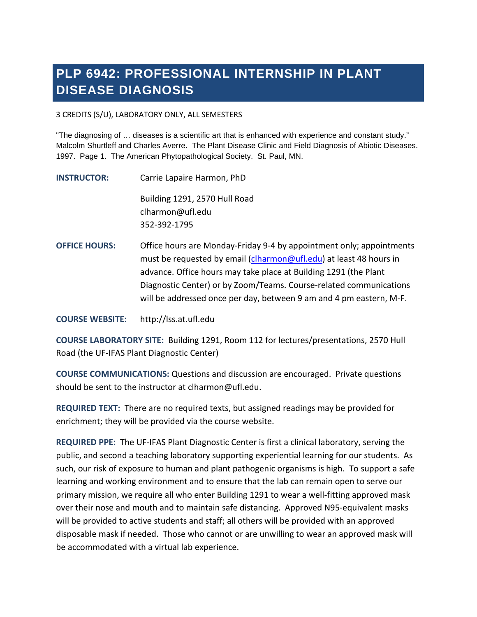# **PLP 6942: PROFESSIONAL INTERNSHIP IN PLANT DISEASE DIAGNOSIS**

3 CREDITS (S/U), LABORATORY ONLY, ALL SEMESTERS

"The diagnosing of … diseases is a scientific art that is enhanced with experience and constant study." Malcolm Shurtleff and Charles Averre. The Plant Disease Clinic and Field Diagnosis of Abiotic Diseases. 1997. Page 1. The American Phytopathological Society. St. Paul, MN.

**INSTRUCTOR:** Carrie Lapaire Harmon, PhD Building 1291, 2570 Hull Road clharmon@ufl.edu 352-392-1795

**OFFICE HOURS:** Office hours are Monday-Friday 9-4 by appointment only; appointments must be requested by email [\(clharmon@ufl.edu\)](mailto:clharmon@ufl.edu) at least 48 hours in advance. Office hours may take place at Building 1291 (the Plant Diagnostic Center) or by Zoom/Teams. Course-related communications will be addressed once per day, between 9 am and 4 pm eastern, M-F.

**COURSE WEBSITE:** [http://lss.at.ufl.edu](http://lss.at.ufl.edu/)

**COURSE LABORATORY SITE:** Building 1291, Room 112 for lectures/presentations, 2570 Hull Road (the UF-IFAS Plant Diagnostic Center)

**COURSE COMMUNICATIONS:** Questions and discussion are encouraged. Private questions should be sent to the instructor at clharmon@ufl.edu.

**REQUIRED TEXT:** There are no required texts, but assigned readings may be provided for enrichment; they will be provided via the course website.

**REQUIRED PPE:** The UF-IFAS Plant Diagnostic Center is first a clinical laboratory, serving the public, and second a teaching laboratory supporting experiential learning for our students. As such, our risk of exposure to human and plant pathogenic organisms is high. To support a safe learning and working environment and to ensure that the lab can remain open to serve our primary mission, we require all who enter Building 1291 to wear a well-fitting approved mask over their nose and mouth and to maintain safe distancing. Approved N95-equivalent masks will be provided to active students and staff; all others will be provided with an approved disposable mask if needed. Those who cannot or are unwilling to wear an approved mask will be accommodated with a virtual lab experience.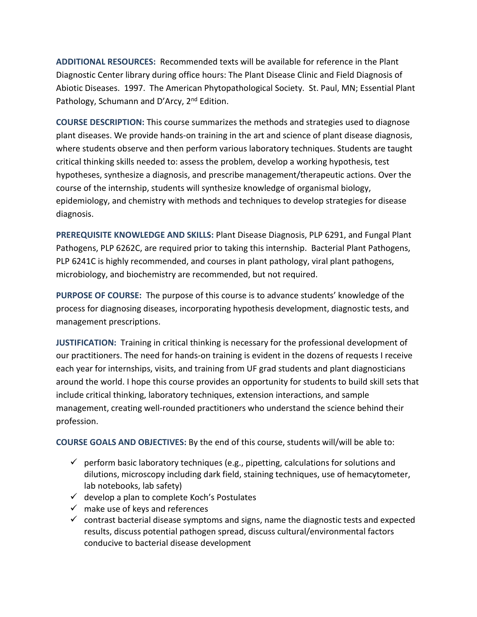**ADDITIONAL RESOURCES:** Recommended texts will be available for reference in the Plant Diagnostic Center library during office hours: The Plant Disease Clinic and Field Diagnosis of Abiotic Diseases. 1997. The American Phytopathological Society. St. Paul, MN; Essential Plant Pathology, Schumann and D'Arcy, 2<sup>nd</sup> Edition.

**COURSE DESCRIPTION:** This course summarizes the methods and strategies used to diagnose plant diseases. We provide hands-on training in the art and science of plant disease diagnosis, where students observe and then perform various laboratory techniques. Students are taught critical thinking skills needed to: assess the problem, develop a working hypothesis, test hypotheses, synthesize a diagnosis, and prescribe management/therapeutic actions. Over the course of the internship, students will synthesize knowledge of organismal biology, epidemiology, and chemistry with methods and techniques to develop strategies for disease diagnosis.

**PREREQUISITE KNOWLEDGE AND SKILLS:** Plant Disease Diagnosis, PLP 6291, and Fungal Plant Pathogens, PLP 6262C, are required prior to taking this internship. Bacterial Plant Pathogens, PLP 6241C is highly recommended, and courses in plant pathology, viral plant pathogens, microbiology, and biochemistry are recommended, but not required.

**PURPOSE OF COURSE:** The purpose of this course is to advance students' knowledge of the process for diagnosing diseases, incorporating hypothesis development, diagnostic tests, and management prescriptions.

**JUSTIFICATION:** Training in critical thinking is necessary for the professional development of our practitioners. The need for hands-on training is evident in the dozens of requests I receive each year for internships, visits, and training from UF grad students and plant diagnosticians around the world. I hope this course provides an opportunity for students to build skill sets that include critical thinking, laboratory techniques, extension interactions, and sample management, creating well-rounded practitioners who understand the science behind their profession.

**COURSE GOALS AND OBJECTIVES:** By the end of this course, students will/will be able to:

- $\checkmark$  perform basic laboratory techniques (e.g., pipetting, calculations for solutions and dilutions, microscopy including dark field, staining techniques, use of hemacytometer, lab notebooks, lab safety)
- $\checkmark$  develop a plan to complete Koch's Postulates
- $\checkmark$  make use of keys and references
- $\checkmark$  contrast bacterial disease symptoms and signs, name the diagnostic tests and expected results, discuss potential pathogen spread, discuss cultural/environmental factors conducive to bacterial disease development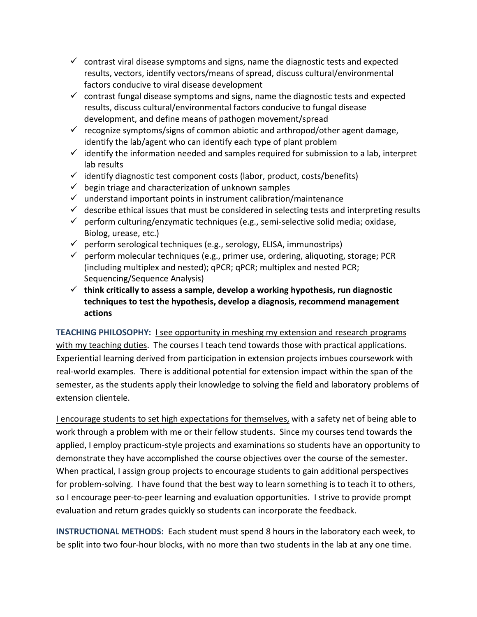- $\checkmark$  contrast viral disease symptoms and signs, name the diagnostic tests and expected results, vectors, identify vectors/means of spread, discuss cultural/environmental factors conducive to viral disease development
- $\checkmark$  contrast fungal disease symptoms and signs, name the diagnostic tests and expected results, discuss cultural/environmental factors conducive to fungal disease development, and define means of pathogen movement/spread
- $\checkmark$  recognize symptoms/signs of common abiotic and arthropod/other agent damage, identify the lab/agent who can identify each type of plant problem
- $\checkmark$  identify the information needed and samples required for submission to a lab, interpret lab results
- $\checkmark$  identify diagnostic test component costs (labor, product, costs/benefits)
- $\checkmark$  begin triage and characterization of unknown samples
- $\checkmark$  understand important points in instrument calibration/maintenance
- $\checkmark$  describe ethical issues that must be considered in selecting tests and interpreting results
- $\checkmark$  perform culturing/enzymatic techniques (e.g., semi-selective solid media; oxidase, Biolog, urease, etc.)
- $\checkmark$  perform serological techniques (e.g., serology, ELISA, immunostrips)
- $\checkmark$  perform molecular techniques (e.g., primer use, ordering, aliquoting, storage; PCR (including multiplex and nested); qPCR; qPCR; multiplex and nested PCR; Sequencing/Sequence Analysis)
- **think critically to assess a sample, develop a working hypothesis, run diagnostic techniques to test the hypothesis, develop a diagnosis, recommend management actions**

**TEACHING PHILOSOPHY:** I see opportunity in meshing my extension and research programs with my teaching duties. The courses I teach tend towards those with practical applications. Experiential learning derived from participation in extension projects imbues coursework with real-world examples. There is additional potential for extension impact within the span of the semester, as the students apply their knowledge to solving the field and laboratory problems of extension clientele.

I encourage students to set high expectations for themselves, with a safety net of being able to work through a problem with me or their fellow students. Since my courses tend towards the applied, I employ practicum-style projects and examinations so students have an opportunity to demonstrate they have accomplished the course objectives over the course of the semester. When practical, I assign group projects to encourage students to gain additional perspectives for problem-solving. I have found that the best way to learn something is to teach it to others, so I encourage peer-to-peer learning and evaluation opportunities. I strive to provide prompt evaluation and return grades quickly so students can incorporate the feedback.

**INSTRUCTIONAL METHODS:** Each student must spend 8 hours in the laboratory each week, to be split into two four-hour blocks, with no more than two students in the lab at any one time.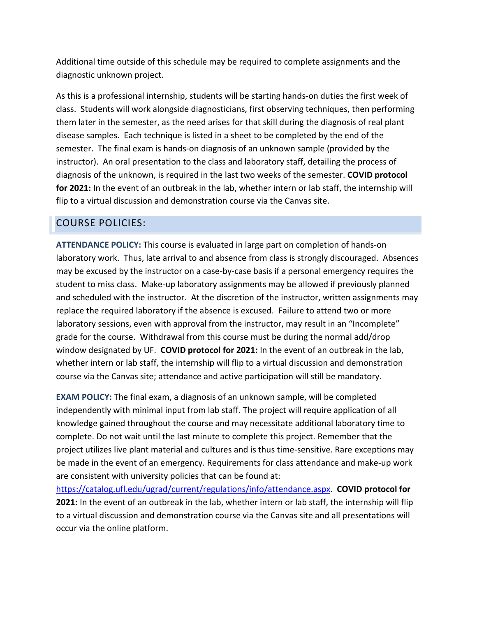Additional time outside of this schedule may be required to complete assignments and the diagnostic unknown project.

As this is a professional internship, students will be starting hands-on duties the first week of class. Students will work alongside diagnosticians, first observing techniques, then performing them later in the semester, as the need arises for that skill during the diagnosis of real plant disease samples. Each technique is listed in a sheet to be completed by the end of the semester. The final exam is hands-on diagnosis of an unknown sample (provided by the instructor). An oral presentation to the class and laboratory staff, detailing the process of diagnosis of the unknown, is required in the last two weeks of the semester. **COVID protocol for 2021:** In the event of an outbreak in the lab, whether intern or lab staff, the internship will flip to a virtual discussion and demonstration course via the Canvas site.

## COURSE POLICIES:

**ATTENDANCE POLICY:** This course is evaluated in large part on completion of hands-on laboratory work. Thus, late arrival to and absence from class is strongly discouraged. Absences may be excused by the instructor on a case-by-case basis if a personal emergency requires the student to miss class. Make-up laboratory assignments may be allowed if previously planned and scheduled with the instructor. At the discretion of the instructor, written assignments may replace the required laboratory if the absence is excused. Failure to attend two or more laboratory sessions, even with approval from the instructor, may result in an "Incomplete" grade for the course. Withdrawal from this course must be during the normal add/drop window designated by UF. **COVID protocol for 2021:** In the event of an outbreak in the lab, whether intern or lab staff, the internship will flip to a virtual discussion and demonstration course via the Canvas site; attendance and active participation will still be mandatory.

**EXAM POLICY:** The final exam, a diagnosis of an unknown sample, will be completed independently with minimal input from lab staff. The project will require application of all knowledge gained throughout the course and may necessitate additional laboratory time to complete. Do not wait until the last minute to complete this project. Remember that the project utilizes live plant material and cultures and is thus time-sensitive. Rare exceptions may be made in the event of an emergency. Requirements for class attendance and make-up work are consistent with university policies that can be found at:

[https://catalog.ufl.edu/ugrad/current/regulations/info/attendance.aspx.](https://catalog.ufl.edu/ugrad/current/regulations/info/attendance.aspx) **COVID protocol for 2021:** In the event of an outbreak in the lab, whether intern or lab staff, the internship will flip to a virtual discussion and demonstration course via the Canvas site and all presentations will occur via the online platform.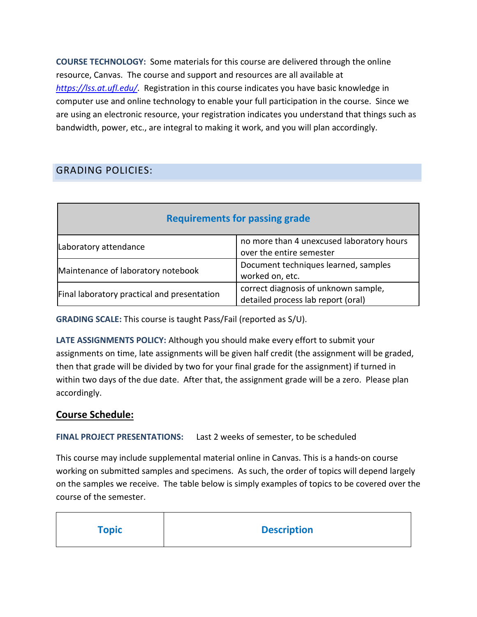**COURSE TECHNOLOGY:** Some materials for this course are delivered through the online resource, Canvas. The course and support and resources are all available at *<https://lss.at.ufl.edu/>*. Registration in this course indicates you have basic knowledge in computer use and online technology to enable your full participation in the course. Since we are using an electronic resource, your registration indicates you understand that things such as bandwidth, power, etc., are integral to making it work, and you will plan accordingly.

# GRADING POLICIES:

| <b>Requirements for passing grade</b>       |                                                                            |
|---------------------------------------------|----------------------------------------------------------------------------|
| Laboratory attendance                       | no more than 4 unexcused laboratory hours<br>over the entire semester      |
| Maintenance of laboratory notebook          | Document techniques learned, samples<br>worked on, etc.                    |
| Final laboratory practical and presentation | correct diagnosis of unknown sample,<br>detailed process lab report (oral) |

**GRADING SCALE:** This course is taught Pass/Fail (reported as S/U).

**LATE ASSIGNMENTS POLICY:** Although you should make every effort to submit your assignments on time, late assignments will be given half credit (the assignment will be graded, then that grade will be divided by two for your final grade for the assignment) if turned in within two days of the due date. After that, the assignment grade will be a zero. Please plan accordingly.

## **Course Schedule:**

**FINAL PROJECT PRESENTATIONS:** Last 2 weeks of semester, to be scheduled

This course may include supplemental material online in Canvas. This is a hands-on course working on submitted samples and specimens. As such, the order of topics will depend largely on the samples we receive. The table below is simply examples of topics to be covered over the course of the semester.

| <b>Topic</b> | <b>Description</b> |
|--------------|--------------------|
|              |                    |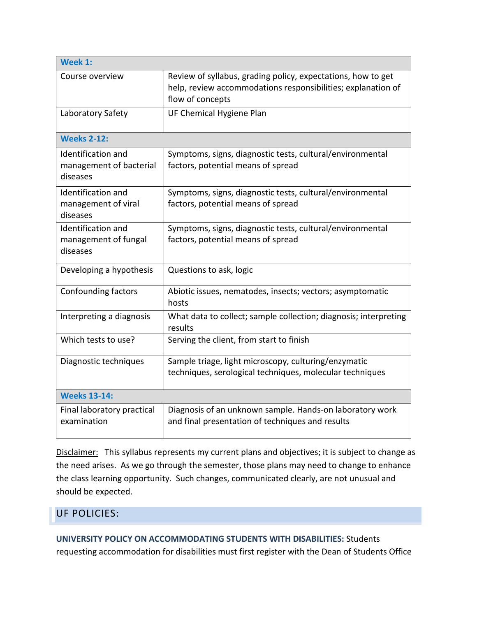| Week 1:                                                          |                                                                                                                                                  |  |
|------------------------------------------------------------------|--------------------------------------------------------------------------------------------------------------------------------------------------|--|
| Course overview                                                  | Review of syllabus, grading policy, expectations, how to get<br>help, review accommodations responsibilities; explanation of<br>flow of concepts |  |
| Laboratory Safety                                                | UF Chemical Hygiene Plan                                                                                                                         |  |
| <b>Weeks 2-12:</b>                                               |                                                                                                                                                  |  |
| <b>Identification and</b><br>management of bacterial<br>diseases | Symptoms, signs, diagnostic tests, cultural/environmental<br>factors, potential means of spread                                                  |  |
| Identification and<br>management of viral<br>diseases            | Symptoms, signs, diagnostic tests, cultural/environmental<br>factors, potential means of spread                                                  |  |
| <b>Identification and</b><br>management of fungal<br>diseases    | Symptoms, signs, diagnostic tests, cultural/environmental<br>factors, potential means of spread                                                  |  |
| Developing a hypothesis                                          | Questions to ask, logic                                                                                                                          |  |
| <b>Confounding factors</b>                                       | Abiotic issues, nematodes, insects; vectors; asymptomatic<br>hosts                                                                               |  |
| Interpreting a diagnosis                                         | What data to collect; sample collection; diagnosis; interpreting<br>results                                                                      |  |
| Which tests to use?                                              | Serving the client, from start to finish                                                                                                         |  |
| Diagnostic techniques                                            | Sample triage, light microscopy, culturing/enzymatic<br>techniques, serological techniques, molecular techniques                                 |  |
| <b>Weeks 13-14:</b>                                              |                                                                                                                                                  |  |
| Final laboratory practical<br>examination                        | Diagnosis of an unknown sample. Hands-on laboratory work<br>and final presentation of techniques and results                                     |  |

Disclaimer:This syllabus represents my current plans and objectives; it is subject to change as the need arises. As we go through the semester, those plans may need to change to enhance the class learning opportunity. Such changes, communicated clearly, are not unusual and should be expected.

#### UF POLICIES:

#### **UNIVERSITY POLICY ON ACCOMMODATING STUDENTS WITH DISABILITIES:** Students

requesting accommodation for disabilities must first register with the Dean of Students Office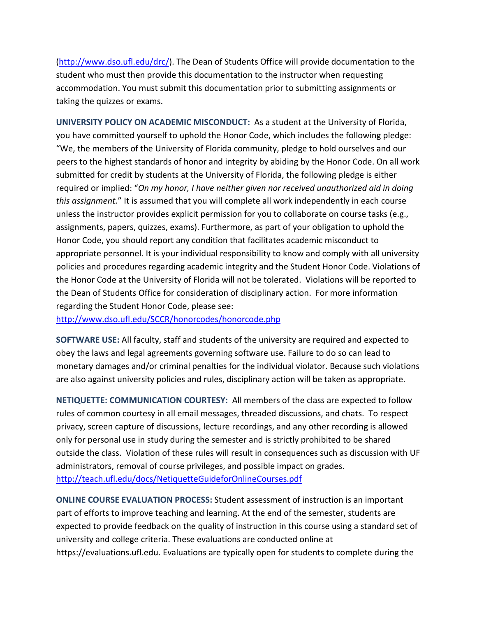[\(http://www.dso.ufl.edu/drc/\)](http://www.dso.ufl.edu/drc/). The Dean of Students Office will provide documentation to the student who must then provide this documentation to the instructor when requesting accommodation. You must submit this documentation prior to submitting assignments or taking the quizzes or exams.

**UNIVERSITY POLICY ON ACADEMIC MISCONDUCT:** As a student at the University of Florida, you have committed yourself to uphold the Honor Code, which includes the following pledge: "We, the members of the University of Florida community, pledge to hold ourselves and our peers to the highest standards of honor and integrity by abiding by the Honor Code. On all work submitted for credit by students at the University of Florida, the following pledge is either required or implied: "*On my honor, I have neither given nor received unauthorized aid in doing this assignment.*" It is assumed that you will complete all work independently in each course unless the instructor provides explicit permission for you to collaborate on course tasks (e.g., assignments, papers, quizzes, exams). Furthermore, as part of your obligation to uphold the Honor Code, you should report any condition that facilitates academic misconduct to appropriate personnel. It is your individual responsibility to know and comply with all university policies and procedures regarding academic integrity and the Student Honor Code. Violations of the Honor Code at the University of Florida will not be tolerated. Violations will be reported to the Dean of Students Office for consideration of disciplinary action. For more information regarding the Student Honor Code, please see:

<http://www.dso.ufl.edu/SCCR/honorcodes/honorcode.php>

**SOFTWARE USE:** All faculty, staff and students of the university are required and expected to obey the laws and legal agreements governing software use. Failure to do so can lead to monetary damages and/or criminal penalties for the individual violator. Because such violations are also against university policies and rules, disciplinary action will be taken as appropriate.

**NETIQUETTE: COMMUNICATION COURTESY:** All members of the class are expected to follow rules of common courtesy in all email messages, threaded discussions, and chats. To respect privacy, screen capture of discussions, lecture recordings, and any other recording is allowed only for personal use in study during the semester and is strictly prohibited to be shared outside the class. Violation of these rules will result in consequences such as discussion with UF administrators, removal of course privileges, and possible impact on grades. <http://teach.ufl.edu/docs/NetiquetteGuideforOnlineCourses.pdf>

**ONLINE COURSE EVALUATION PROCESS:** Student assessment of instruction is an important part of efforts to improve teaching and learning. At the end of the semester, students are expected to provide feedback on the quality of instruction in this course using a standard set of university and college criteria. These evaluations are conducted online at https://evaluations.ufl.edu. Evaluations are typically open for students to complete during the